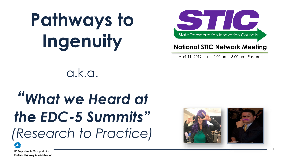# **Pathways to Ingenuity**



#### **National STIC Network Meeting**

April 11, 2019 at 2:00 pm - 3:00 pm (Eastern)

a.k.a.

#### *"What we Heard at the EDC-5 Summits" (Research to Practice)*



1

U.S. Department of Transportation **Federal Highway Administration**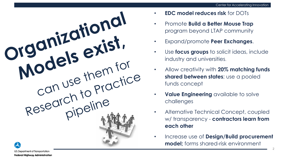

- **EDC model reduces risk** for DOTs
- Promote **Build a Better Mouse Trap**  program beyond LTAP community
- Expand/promote **Peer Exchanges**.
- Use **focus groups** to solicit ideas, include industry and universities.
- Allow creativity with **20% matching funds shared between states**; use a pooled funds concept
- **Value Engineering** available to solve challenges
- Alternative Technical Concept, coupled w/ transparency - **contractors learn from each other**
- Increase use of **Design/Build procurement model;** forms shared-risk environment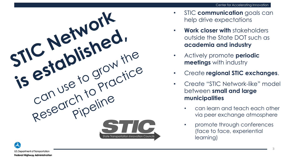

- STIC **communication** goals can help drive expectations
- **Work closer with** stakeholders outside the State DOT such as **academia and industry**
- **meetings** with industry
- Create **regional STIC exchanges**.
- Create "STIC Network-like" model between **small and large municipalities**
	- can learn and teach each other via peer exchange atmosphere
	- promote through conferences (face to face, experiential learning)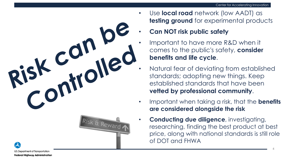



- Use **local road** network (low AADT) as **testing ground** for experimental products
	- **Can NOT risk public safety**
	- Important to have more R&D when it comes to the public's safety, **consider benefits and life cycle**.
	- Natural fear of deviating from established standards; adopting new things. Keep established standards that have been **vetted by professional community**.
- Important when taking a risk, that the **benefits are considered alongside the risk**
- **Conducting due diligence**, investigating, researching, finding the best product at best price, along with national standards is still role of DOT and FHWA

 $\boldsymbol{\lambda}$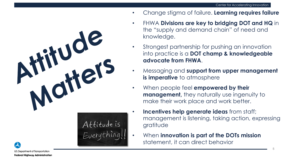- Change stigma of failure. **Learning requires failure** 
	- FHWA **Divisions are key to bridging DOT and HQ** in the "supply and demand chain" of need and knowledge.
	- Strongest partnership for pushing an innovation into practice is a **DOT champ & knowledgeable advocate from FHWA**.
	- Messaging and **support from upper management is imperative** to atmosphere
	- When people feel **empowered by their management**, they naturally use ingenuity to make their work place and work better.
	- **Incentives help generate ideas** from staff; management is listening, taking action, expressing gratitude
	- When **innovation is part of the DOTs mission**  statement, it can direct behavior

Attitude is<br>Everything!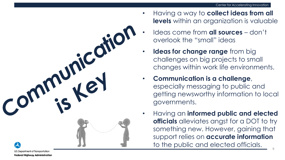

U.S. Department of Transportation **Federal Highway Administration** 

- Having a way to **collect ideas from all levels** within an organization is valuable
- Ideas come from **all sources**  don't overlook the "small" ideas
- **Ideas for change range** from big challenges on big projects to small changes within work life environments.
- **Communication is a challenge**, especially messaging to public and getting newsworthy information to local governments.
- Having an **informed public and elected officials** alleviates angst for a DOT to try something new. However, gaining that support relies on **accurate information**  to the public and elected officials.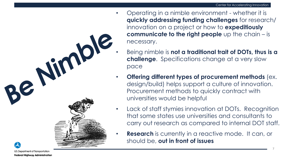- Operating in a nimble environment whether it is **quickly addressing funding challenges** for research/ innovation on a project or how to **expeditiously communicate to the right people** up the chain – is necessary.
	- Being nimble is **not a traditional trait of DOTs, thus is a challenge**. Specifications change at a very slow pace
	- **Offering different types of procurement methods** (ex. design/build) helps support a culture of innovation. Procurement methods to quickly contract with universities would be helpful
	- Lack of staff stymies innovation at DOTs. Recognition that some states use universities and consultants to carry out research as compared to internal DOT staff.
	- **Research** is currently in a reactive mode. It can, or should be, **out in front of issues**

ReN

impl